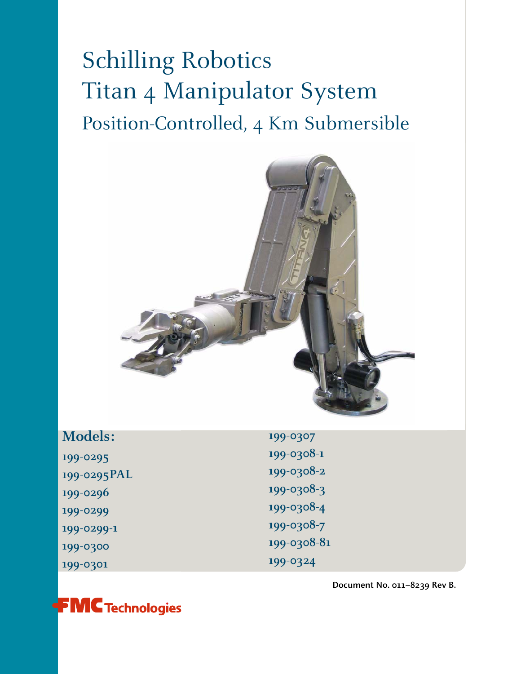# Schilling Robotics Titan 4 Manipulator System Position-Controlled, 4 Km Submersible



| <b>Models:</b> | 199-0307    |
|----------------|-------------|
| 199-0295       | 199-0308-1  |
| 199-0295PAL    | 199-0308-2  |
| 199-0296       | 199-0308-3  |
| 199-0299       | 199-0308-4  |
| 199-0299-1     | 199-0308-7  |
| 199-0300       | 199-0308-81 |
| 199-0301       | 199-0324    |
|                |             |



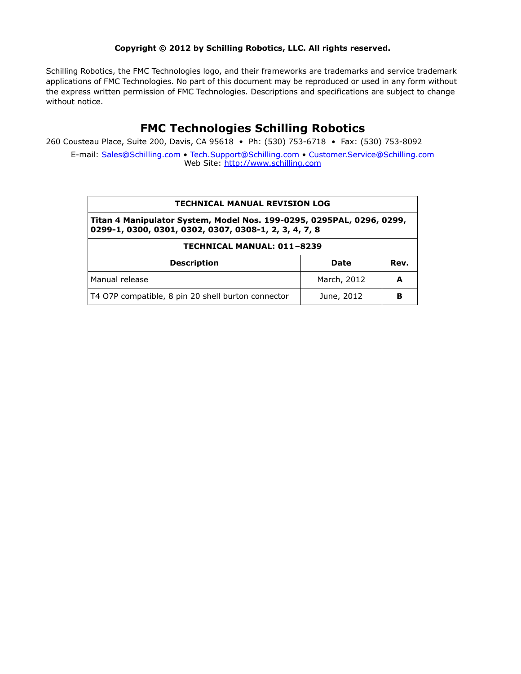#### **Copyright © 2012 by Schilling Robotics, LLC. All rights reserved.**

Schilling Robotics, the FMC Technologies logo, and their frameworks are trademarks and service trademark applications of FMC Technologies. No part of this document may be reproduced or used in any form without the express written permission of FMC Technologies. Descriptions and specifications are subject to change without notice.

## **FMC Technologies Schilling Robotics**

260 Cousteau Place, Suite 200, Davis, CA 95618 • Ph: (530) 753-6718 • Fax: (530) 753-8092

E-mail: [Sales@Schilling.com](mailto:Sales@Schilling.com) • [Tech.Support@Schilling.com](mailto:Tech.Support@Schilling.com) • [Customer.Service@Schilling.com](mailto:Customer.Service@Schilling.com) Web Site: <http://www.schilling.com>

#### **TECHNICAL MANUAL REVISION LOG**

**Titan 4 Manipulator System, Model Nos. 199-0295, 0295PAL, 0296, 0299, 0299-1, 0300, 0301, 0302, 0307, 0308-1, 2, 3, 4, 7, 8**

#### **TECHNICAL MANUAL: 011–8239**

| <b>Description</b>                                 | Date        | Rev. |
|----------------------------------------------------|-------------|------|
| Manual release                                     | March, 2012 |      |
| T4 O7P compatible, 8 pin 20 shell burton connector | June, 2012  |      |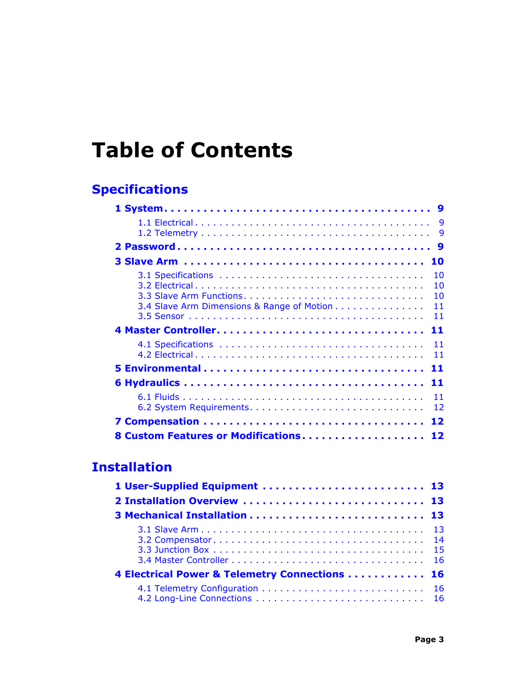# **Table of Contents**

# **[Specifications](#page-8-0)**

| 9<br>9                                                                   |
|--------------------------------------------------------------------------|
| 9                                                                        |
| 10                                                                       |
| 10<br>10<br>10<br>3.4 Slave Arm Dimensions & Range of Motion<br>11<br>11 |
| 11                                                                       |
| 11<br>11                                                                 |
| 11                                                                       |
| 11                                                                       |
| 11<br>12                                                                 |
| 12                                                                       |
| 8 Custom Features or Modifications<br>12                                 |

## **Installation**

| 1 User-Supplied Equipment  13                 |  |
|-----------------------------------------------|--|
|                                               |  |
|                                               |  |
|                                               |  |
|                                               |  |
| 4 Electrical Power & Telemetry Connections 16 |  |
|                                               |  |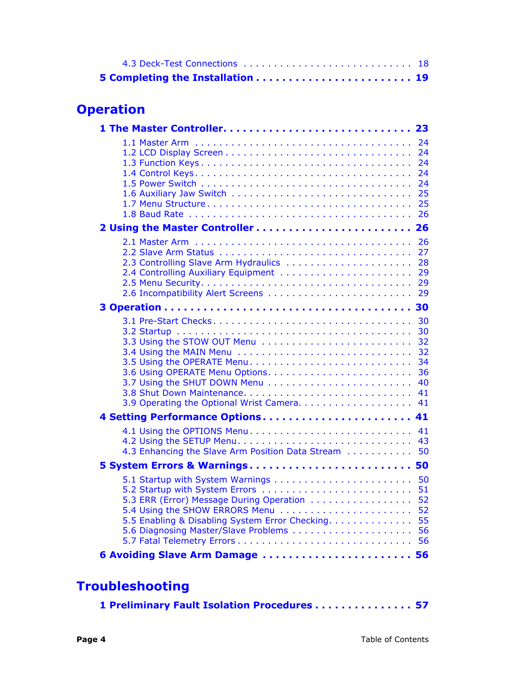# **Operation**

|                                                                                             | 24<br>24<br>24<br>24<br>24<br>25<br>25<br>26       |
|---------------------------------------------------------------------------------------------|----------------------------------------------------|
|                                                                                             |                                                    |
| 2.3 Controlling Slave Arm Hydraulics<br>2.4 Controlling Auxiliary Equipment                 | 26<br>27<br>28<br>29<br>29                         |
|                                                                                             |                                                    |
| 3.5 Using the OPERATE Menu                                                                  | 30<br>30<br>32<br>32<br>34<br>36<br>40<br>41<br>41 |
| 4 Setting Performance Options                                                               | 41                                                 |
| 4.3 Enhancing the Slave Arm Position Data Stream                                            | 41<br>43<br>50                                     |
| 5 System Errors & Warnings 50                                                               |                                                    |
| 5.3 ERR (Error) Message During Operation<br>5.5 Enabling & Disabling System Error Checking. | 50<br>51<br>52<br>52<br>55<br>56                   |
| 6 Avoiding Slave Arm Damage  56                                                             |                                                    |

# **Troubleshooting**

|  |  | 1 Preliminary Fault Isolation Procedures 57 |  |  |  |  |
|--|--|---------------------------------------------|--|--|--|--|
|--|--|---------------------------------------------|--|--|--|--|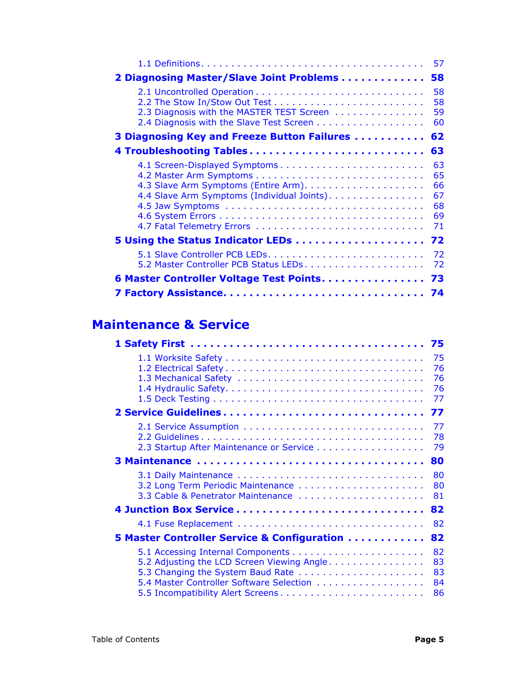|                                                                              | 57                                     |
|------------------------------------------------------------------------------|----------------------------------------|
| 2 Diagnosing Master/Slave Joint Problems                                     | 58                                     |
| 2.3 Diagnosis with the MASTER TEST Screen                                    | 58<br>58<br>59<br>60                   |
| 3 Diagnosing Key and Freeze Button Failures                                  | 62                                     |
|                                                                              | 63                                     |
| 4.1 Screen-Displayed Symptoms<br>4.4 Slave Arm Symptoms (Individual Joints). | 63<br>65<br>66<br>67<br>68<br>69<br>71 |
|                                                                              | 72                                     |
| 5.2 Master Controller PCB Status LEDs                                        | 72<br>72                               |
| 6 Master Controller Voltage Test Points                                      | 73                                     |
|                                                                              | 74                                     |

## **Maintenance & Service**

|                                                         | 75 |
|---------------------------------------------------------|----|
|                                                         | 76 |
|                                                         | 76 |
|                                                         | 76 |
|                                                         | 77 |
|                                                         | 77 |
|                                                         | 77 |
|                                                         | 78 |
|                                                         | 79 |
|                                                         | 80 |
|                                                         | 80 |
|                                                         | 80 |
| 3.3 Cable & Penetrator Maintenance                      | 81 |
|                                                         | 82 |
|                                                         | 82 |
| <b>5 Master Controller Service &amp; Configuration </b> | 82 |
|                                                         | 82 |
| 5.2 Adjusting the LCD Screen Viewing Angle              | 83 |
| 5.3 Changing the System Baud Rate                       | 83 |
|                                                         | 84 |
| 5.5 Incompatibility Alert Screens                       | 86 |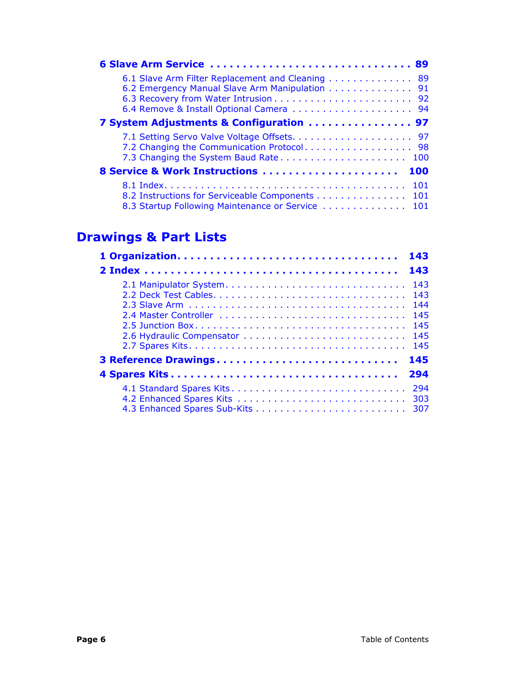| 6 Slave Arm Service  89                           |            |
|---------------------------------------------------|------------|
| 6.1 Slave Arm Filter Replacement and Cleaning     | 89         |
| 6.2 Emergency Manual Slave Arm Manipulation 91    |            |
|                                                   |            |
|                                                   |            |
| 7 System Adjustments & Configuration  97          |            |
|                                                   |            |
|                                                   |            |
| 7.3 Changing the System Baud Rate 100             |            |
| 8 Service & Work Instructions                     | <b>100</b> |
|                                                   |            |
| 8.2 Instructions for Serviceable Components 101   |            |
| 8.3 Startup Following Maintenance or Service  101 |            |

## **Drawings & Part Lists**

|                             | 143                      |
|-----------------------------|--------------------------|
| $2 Index                  $ | 143                      |
|                             | 143<br>144<br>145<br>145 |
| 3 Reference Drawings        | 145                      |
|                             | 294                      |
|                             |                          |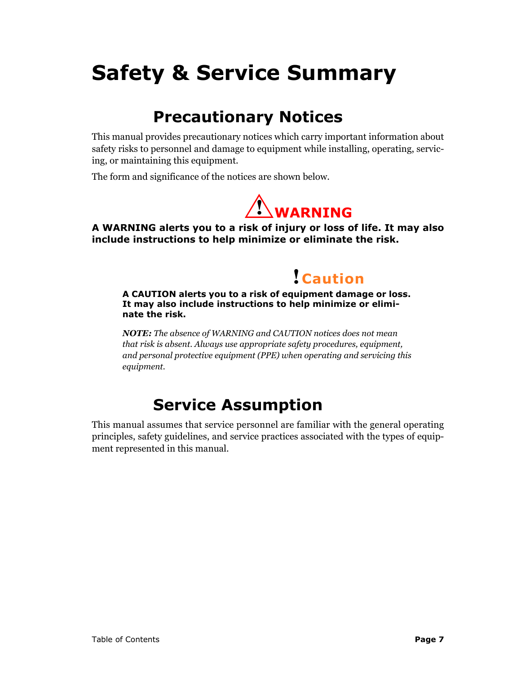# **Safety & Service Summary**

# **Precautionary Notices**

This manual provides precautionary notices which carry important information about safety risks to personnel and damage to equipment while installing, operating, servicing, or maintaining this equipment.

The form and significance of the notices are shown below.



**A WARNING alerts you to a risk of injury or loss of life. It may also include instructions to help minimize or eliminate the risk.**

# **! Caution**

**A CAUTION alerts you to a risk of equipment damage or loss. It may also include instructions to help minimize or eliminate the risk.**

*NOTE: The absence of WARNING and CAUTION notices does not mean that risk is absent. Always use appropriate safety procedures, equipment, and personal protective equipment (PPE) when operating and servicing this equipment.*

# **Service Assumption**

This manual assumes that service personnel are familiar with the general operating principles, safety guidelines, and service practices associated with the types of equipment represented in this manual.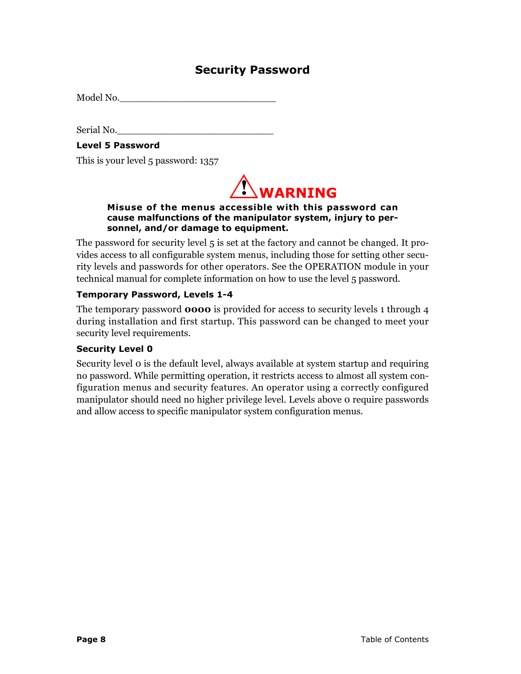## **Security Password**

Model No.

Serial No.

#### **Level 5 Password**

This is your level 5 password: 1357



#### **Misuse of the menus accessible with this password can cause malfunctions of the manipulator system, injury to personnel, and/or damage to equipment.**

The password for security level 5 is set at the factory and cannot be changed. It provides access to all configurable system menus, including those for setting other security levels and passwords for other operators. See the OPERATION module in your technical manual for complete information on how to use the level 5 password.

#### **Temporary Password, Levels 1-4**

The temporary password **0000** is provided for access to security levels 1 through 4 during installation and first startup. This password can be changed to meet your security level requirements.

#### **Security Level 0**

Security level 0 is the default level, always available at system startup and requiring no password. While permitting operation, it restricts access to almost all system configuration menus and security features. An operator using a correctly configured manipulator should need no higher privilege level. Levels above 0 require passwords and allow access to specific manipulator system configuration menus.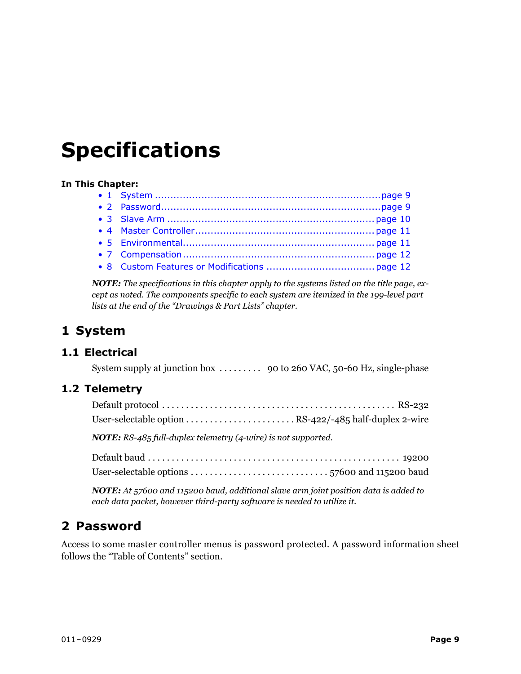# <span id="page-8-0"></span>**Specifications**

#### **In This Chapter:**

*NOTE: The specifications in this chapter apply to the systems listed on the title page, except as noted. The components specific to each system are itemized in the 199-level part lists at the end of the "Drawings & Part Lists" chapter.* 

## <span id="page-8-1"></span>**1 System**

### <span id="page-8-2"></span>**1.1 Electrical**

System supply at junction box . . . . . . . . . 90 to 260 VAC, 50-60 Hz, single-phase

### <span id="page-8-3"></span>**1.2 Telemetry**

*NOTE: RS-485 full-duplex telemetry (4-wire) is not supported.*

| User-selectable options $\ldots \ldots \ldots \ldots \ldots \ldots \ldots \ldots \ldots$ 57600 and 115200 baud |  |
|----------------------------------------------------------------------------------------------------------------|--|

*NOTE: At 57600 and 115200 baud, additional slave arm joint position data is added to each data packet, however third-party software is needed to utilize it.*

## <span id="page-8-4"></span>**2 Password**

Access to some master controller menus is password protected. A password information sheet follows the "Table of Contents" section.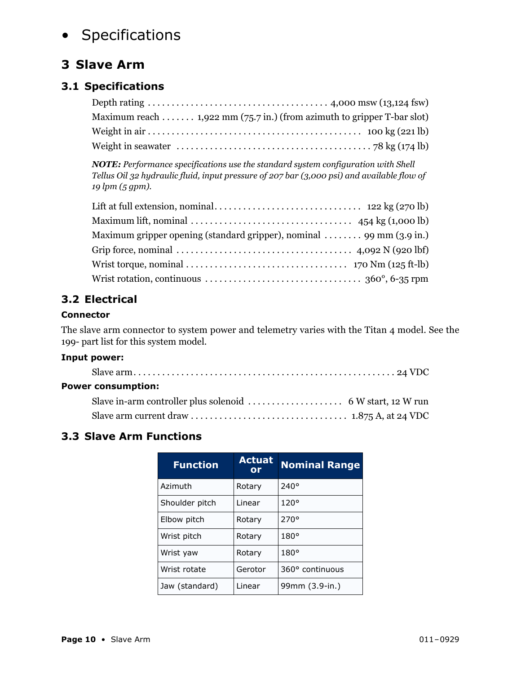# • Specifications

## <span id="page-9-0"></span>**3 Slave Arm**

## <span id="page-9-1"></span>**3.1 Specifications**

| Depth rating $\ldots \ldots \ldots \ldots \ldots \ldots \ldots \ldots \ldots \ldots$ 4,000 msw (13,124 fsw) |
|-------------------------------------------------------------------------------------------------------------|
| Maximum reach $1,922$ mm (75.7 in.) (from azimuth to gripper T-bar slot)                                    |
|                                                                                                             |
|                                                                                                             |

*NOTE: Performance specifications use the standard system configuration with Shell Tellus Oil 32 hydraulic fluid, input pressure of 207 bar (3,000 psi) and available flow of 19 lpm (5 gpm).*

| Maximum lift, nominal $\ldots \ldots \ldots \ldots \ldots \ldots \ldots \ldots \ldots$ 454 kg (1,000 lb)                |  |
|-------------------------------------------------------------------------------------------------------------------------|--|
| Maximum gripper opening (standard gripper), nominal  99 mm (3.9 in.)                                                    |  |
| Grip force, nominal $\ldots \ldots \ldots \ldots \ldots \ldots \ldots \ldots \ldots \ldots$ 4,092 N (920 lbf)           |  |
| Wrist torque, nominal $\ldots \ldots \ldots \ldots \ldots \ldots \ldots \ldots \ldots \ldots \ldots$ 170 Nm (125 ft-lb) |  |
| Wrist rotation, continuous $\dots \dots \dots \dots \dots \dots \dots \dots \dots \dots$ 360°, 6-35 rpm                 |  |

## <span id="page-9-2"></span>**3.2 Electrical**

#### **Connector**

The slave arm connector to system power and telemetry varies with the Titan 4 model. See the 199- part list for this system model.

#### **Input power:**

| <b>Power consumption:</b> |  |
|---------------------------|--|
|                           |  |
|                           |  |

## <span id="page-9-3"></span>**3.3 Slave Arm Functions**

| <b>Function</b> | <b>Actuat</b><br>or | <b>Nominal Range</b> |
|-----------------|---------------------|----------------------|
| Azimuth         | Rotary              | $240^\circ$          |
| Shoulder pitch  | I inear             | 120°                 |
| Elbow pitch     | Rotary              | 270°                 |
| Wrist pitch     | Rotary              | $180^\circ$          |
| Wrist yaw       | Rotary              | $180^\circ$          |
| Wrist rotate    | Gerotor             | 360° continuous      |
| Jaw (standard)  | Linear              | 99mm (3.9-in.)       |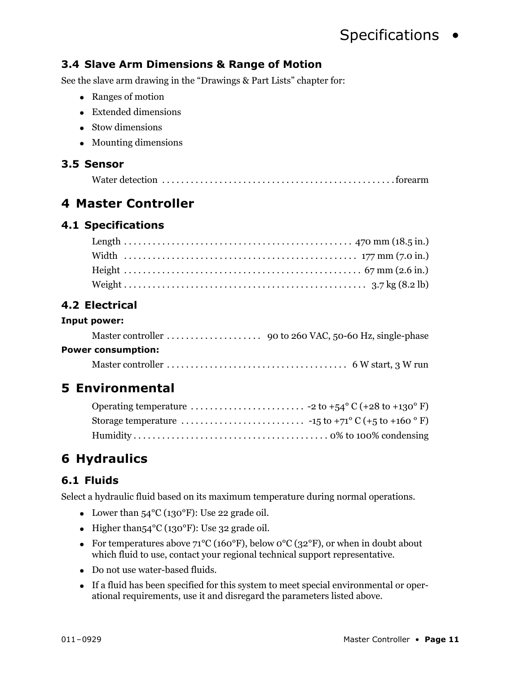# Specifications •

## <span id="page-10-0"></span>**3.4 Slave Arm Dimensions & Range of Motion**

See the slave arm drawing in the "Drawings & Part Lists" chapter for:

- $\bullet$  Ranges of motion
- $\bullet$  Extended dimensions
- $\bullet$  Stow dimensions
- $\bullet$  Mounting dimensions

#### <span id="page-10-1"></span>**3.5 Sensor**

## <span id="page-10-2"></span>**4 Master Controller**

#### <span id="page-10-3"></span>**4.1 Specifications**

### <span id="page-10-4"></span>**4.2 Electrical**

#### **Input power:**

| <b>Power consumption:</b> |  |
|---------------------------|--|

Master controller . . . . . . . . . . . . . . . . . . . . . . . . . . . . . . . . . . . . . . 6 W start, 3 W run

## <span id="page-10-5"></span>**5 Environmental**

## <span id="page-10-6"></span>**6 Hydraulics**

### <span id="page-10-7"></span>**6.1 Fluids**

Select a hydraulic fluid based on its maximum temperature during normal operations.

- Lower than  $54^{\circ}C(130^{\circ}F)$ : Use 22 grade oil.
- Higher than  $54^{\circ}$ C (130°F): Use 32 grade oil.
- For temperatures above  $71^{\circ}C(160^{\circ}F)$ , below  $0^{\circ}C(32^{\circ}F)$ , or when in doubt about which fluid to use, contact your regional technical support representative.
- Do not use water-based fluids.
- If a fluid has been specified for this system to meet special environmental or operational requirements, use it and disregard the parameters listed above.